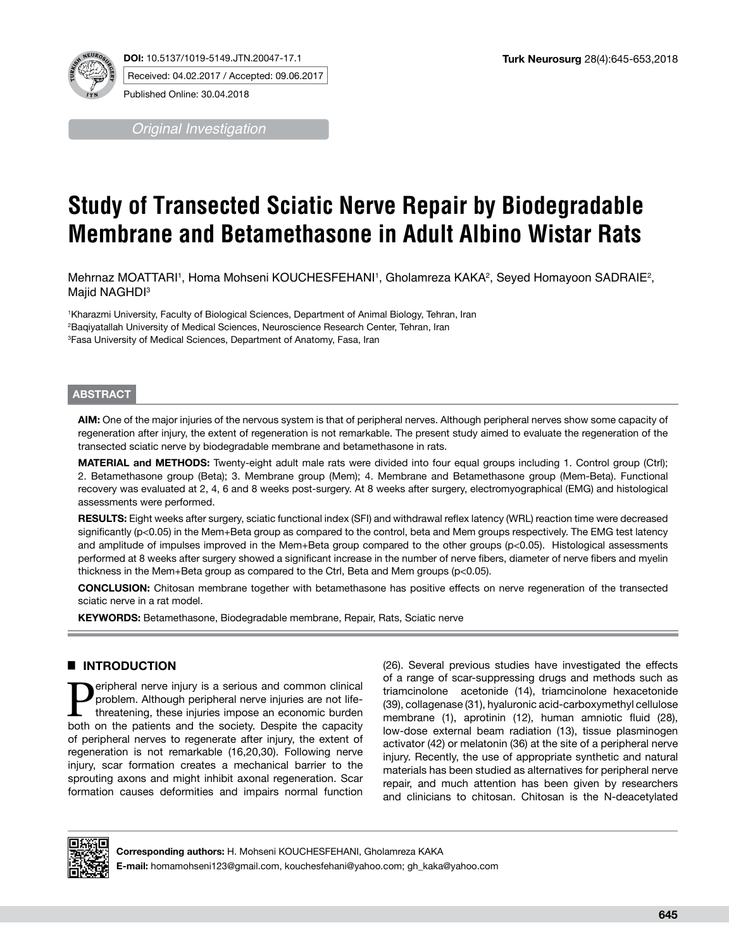

**DOI:** 10.5137/1019-5149.JTN.20047-17.1 Received: 04.02.2017 / Accepted: 09.06.2017

Published Online: 30.04.2018

*Original Investigation*

# **Study of Transected Sciatic Nerve Repair by Biodegradable Membrane and Betamethasone in Adult Albino Wistar Rats**

Mehrnaz MOATTARI1, Homa Mohseni KOUCHESFEHANI1, Gholamreza KAKA<sup>2</sup>, Seyed Homayoon SADRAIE<sup>2</sup>, Majid NAGHDI<sup>3</sup>

1 Kharazmi University, Faculty of Biological Sciences, Department of Animal Biology, Tehran, Iran 2 Baqiyatallah University of Medical Sciences, Neuroscience Research Center, Tehran, Iran 3 Fasa University of Medical Sciences, Department of Anatomy, Fasa, Iran

## **ABSTRACT**

**AIM:** One of the major injuries of the nervous system is that of peripheral nerves. Although peripheral nerves show some capacity of regeneration after injury, the extent of regeneration is not remarkable. The present study aimed to evaluate the regeneration of the transected sciatic nerve by biodegradable membrane and betamethasone in rats.

**MATERIAL and METHODS:** Twenty-eight adult male rats were divided into four equal groups including 1. Control group (Ctrl); 2. Betamethasone group (Beta); 3. Membrane group (Mem); 4. Membrane and Betamethasone group (Mem-Beta). Functional recovery was evaluated at 2, 4, 6 and 8 weeks post-surgery. At 8 weeks after surgery, electromyographical (EMG) and histological assessments were performed.

**RESULTS:** Eight weeks after surgery, sciatic functional index (SFI) and withdrawal reflex latency (WRL) reaction time were decreased significantly (p<0.05) in the Mem+Beta group as compared to the control, beta and Mem groups respectively. The EMG test latency and amplitude of impulses improved in the Mem+Beta group compared to the other groups (p<0.05). Histological assessments performed at 8 weeks after surgery showed a significant increase in the number of nerve fibers, diameter of nerve fibers and myelin thickness in the Mem+Beta group as compared to the Ctrl, Beta and Mem groups (p<0.05).

**CONCLUSION:** Chitosan membrane together with betamethasone has positive effects on nerve regeneration of the transected sciatic nerve in a rat model.

**KEYWORDS:** Betamethasone, Biodegradable membrane, Repair, Rats, Sciatic nerve

# █ **INTRODUCTION**

**Peripheral nerve injury is a serious and common clinical problem.** Although peripheral nerve injuries are not life-<br>threatening, these injuries impose an economic burden<br>both on the patients and the society. Despite the c problem. Although peripheral nerve injuries are not lifeboth on the patients and the society. Despite the capacity of peripheral nerves to regenerate after injury, the extent of regeneration is not remarkable (16,20,30). Following nerve injury, scar formation creates a mechanical barrier to the sprouting axons and might inhibit axonal regeneration. Scar formation causes deformities and impairs normal function (26). Several previous studies have investigated the effects of a range of scar-suppressing drugs and methods such as triamcinolone acetonide (14), triamcinolone hexacetonide (39), collagenase (31), hyaluronic acid-carboxymethyl cellulose membrane (1), aprotinin (12), human amniotic fluid (28), low-dose external beam radiation (13), tissue plasminogen activator (42) or melatonin (36) at the site of a peripheral nerve injury. Recently, the use of appropriate synthetic and natural materials has been studied as alternatives for peripheral nerve repair, and much attention has been given by researchers and clinicians to chitosan. Chitosan is the N-deacetylated



**Corresponding authors:** H. Mohseni KOUCHESFEHANI, Gholamreza KAKA

**E-mail:** homamohseni123@gmail.com, kouchesfehani@yahoo.com; gh\_kaka@yahoo.com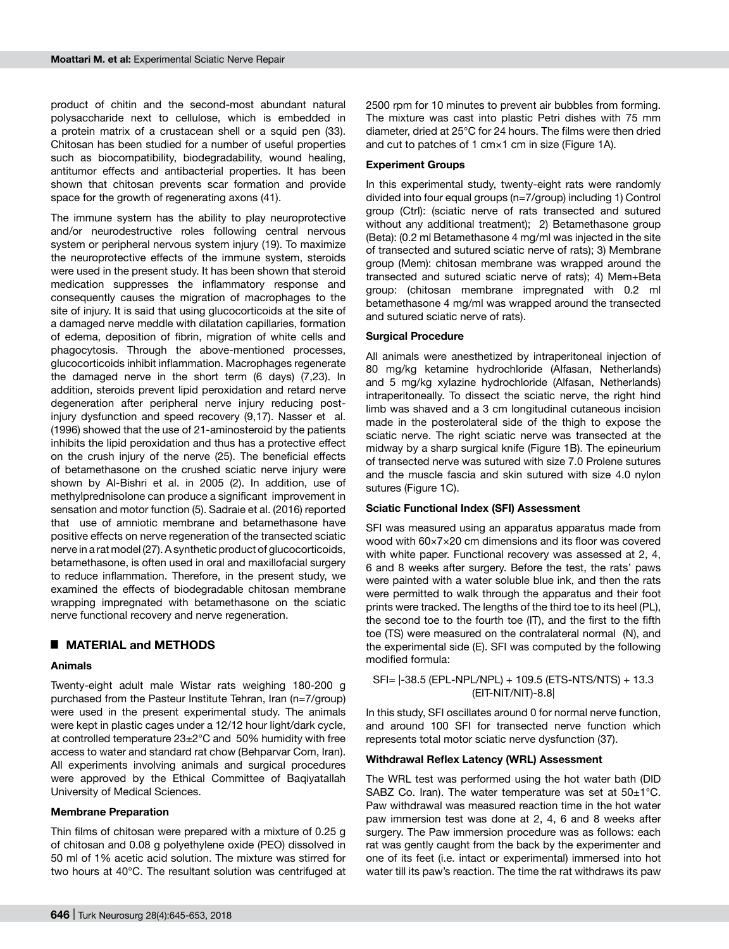product of chitin and the second-most abundant natural polysaccharide next to cellulose, which is embedded in a protein matrix of a crustacean shell or a squid pen (33). Chitosan has been studied for a number of useful properties such as biocompatibility, biodegradability, wound healing, antitumor effects and antibacterial properties. It has been shown that chitosan prevents scar formation and provide space for the growth of regenerating axons (41).

The immune system has the ability to play neuroprotective and/or neurodestructive roles following central nervous system or peripheral nervous system injury (19). To maximize the neuroprotective effects of the immune system, steroids were used in the present study. It has been shown that steroid medication suppresses the inflammatory response and consequently causes the migration of macrophages to the site of injury. It is said that using glucocorticoids at the site of a damaged nerve meddle with dilatation capillaries, formation of edema, deposition of fibrin, migration of white cells and phagocytosis. Through the above-mentioned processes, glucocorticoids inhibit inflammation. Macrophages regenerate the damaged nerve in the short term (6 days) (7,23). In addition, steroids prevent lipid peroxidation and retard nerve degeneration after peripheral nerve injury reducing postinjury dysfunction and speed recovery (9,17). Nasser et al. (1996) showed that the use of 21-aminosteroid by the patients inhibits the lipid peroxidation and thus has a protective effect on the crush injury of the nerve (25). The beneficial effects of betamethasone on the crushed sciatic nerve injury were shown by Al-Bishri et al. in 2005 (2). In addition, use of methylprednisolone can produce a significant improvement in sensation and motor function (5). Sadraie et al. (2016) reported that use of amniotic membrane and betamethasone have positive effects on nerve regeneration of the transected sciatic nerve in a rat model (27). A synthetic product of glucocorticoids, betamethasone, is often used in oral and maxillofacial surgery to reduce inflammation. Therefore, in the present study, we examined the effects of biodegradable chitosan membrane wrapping impregnated with betamethasone on the sciatic nerve functional recovery and nerve regeneration.

# █ **MATERIAL and METHODS**

## **Animals**

Twenty-eight adult male Wistar rats weighing 180-200 g purchased from the Pasteur Institute Tehran, Iran (n=7/group) were used in the present experimental study. The animals were kept in plastic cages under a 12/12 hour light/dark cycle, at controlled temperature 23±2°C and 50% humidity with free access to water and standard rat chow (Behparvar Com, Iran). All experiments involving animals and surgical procedures were approved by the Ethical Committee of Baqiyatallah University of Medical Sciences.

# **Membrane Preparation**

Thin films of chitosan were prepared with a mixture of 0.25 g of chitosan and 0.08 g polyethylene oxide (PEO) dissolved in 50 ml of 1% acetic acid solution. The mixture was stirred for two hours at 40°C. The resultant solution was centrifuged at 2500 rpm for 10 minutes to prevent air bubbles from forming. The mixture was cast into plastic Petri dishes with 75 mm diameter, dried at 25°C for 24 hours. The films were then dried and cut to patches of 1 cm×1 cm in size (Figure 1A).

## **Experiment Groups**

In this experimental study, twenty-eight rats were randomly divided into four equal groups (n=7/group) including 1) Control group (Ctrl): (sciatic nerve of rats transected and sutured without any additional treatment); 2) Betamethasone group (Beta): (0.2 ml Betamethasone 4 mg/ml was injected in the site of transected and sutured sciatic nerve of rats); 3) Membrane group (Mem): chitosan membrane was wrapped around the transected and sutured sciatic nerve of rats); 4) Mem+Beta group: (chitosan membrane impregnated with 0.2 ml betamethasone 4 mg/ml was wrapped around the transected and sutured sciatic nerve of rats).

## **Surgical Procedure**

All animals were anesthetized by intraperitoneal injection of 80 mg/kg ketamine hydrochloride (Alfasan, Netherlands) and 5 mg/kg xylazine hydrochloride (Alfasan, Netherlands) intraperitoneally. To dissect the sciatic nerve, the right hind limb was shaved and a 3 cm longitudinal cutaneous incision made in the posterolateral side of the thigh to expose the sciatic nerve. The right sciatic nerve was transected at the midway by a sharp surgical knife (Figure 1B). The epineurium of transected nerve was sutured with size 7.0 Prolene sutures and the muscle fascia and skin sutured with size 4.0 nylon sutures (Figure 1C).

#### **Sciatic Functional Index (SFI) Assessment**

SFI was measured using an apparatus apparatus made from wood with 60×7×20 cm dimensions and its floor was covered with white paper. Functional recovery was assessed at 2, 4, 6 and 8 weeks after surgery. Before the test, the rats' paws were painted with a water soluble blue ink, and then the rats were permitted to walk through the apparatus and their foot prints were tracked. The lengths of the third toe to its heel (PL), the second toe to the fourth toe (IT), and the first to the fifth toe (TS) were measured on the contralateral normal (N), and the experimental side (E). SFI was computed by the following modified formula:

SFI= |-38.5 (EPL-NPL/NPL) + 109.5 (ETS-NTS/NTS) + 13.3 (EIT-NIT/NIT)-8.8|

In this study, SFI oscillates around 0 for normal nerve function, and around 100 SFI for transected nerve function which represents total motor sciatic nerve dysfunction (37).

#### **Withdrawal Reflex Latency (WRL) Assessment**

The WRL test was performed using the hot water bath (DID SABZ Co. Iran). The water temperature was set at  $50\pm1^{\circ}$ C. Paw withdrawal was measured reaction time in the hot water paw immersion test was done at 2, 4, 6 and 8 weeks after surgery. The Paw immersion procedure was as follows: each rat was gently caught from the back by the experimenter and one of its feet (i.e. intact or experimental) immersed into hot water till its paw's reaction. The time the rat withdraws its paw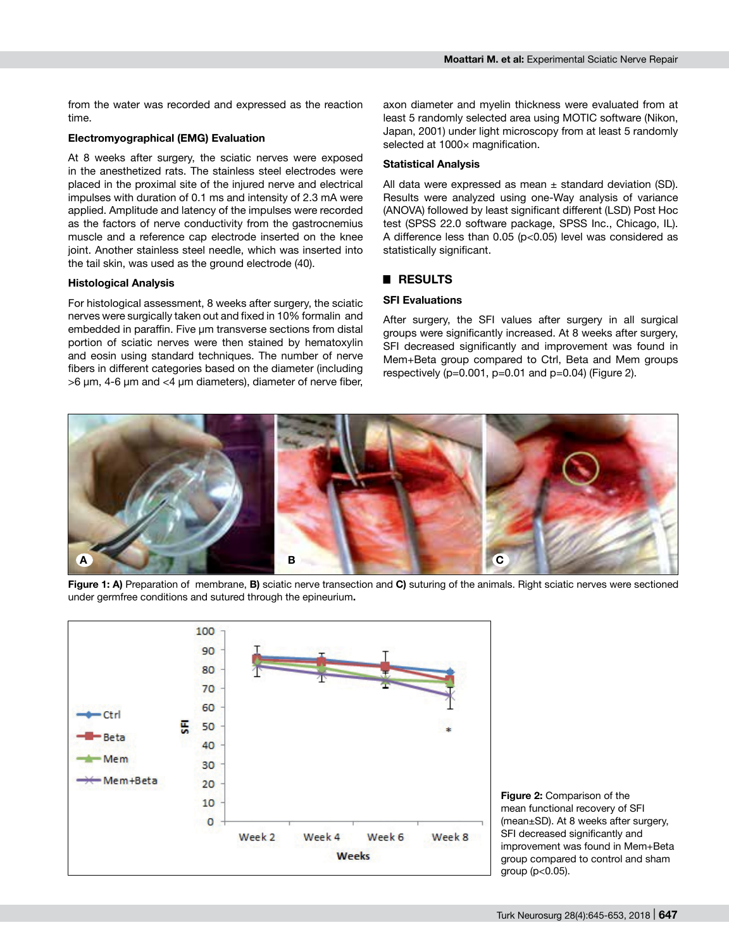from the water was recorded and expressed as the reaction time.

#### **Electromyographical (EMG) Evaluation**

At 8 weeks after surgery, the sciatic nerves were exposed in the anesthetized rats. The stainless steel electrodes were placed in the proximal site of the injured nerve and electrical impulses with duration of 0.1 ms and intensity of 2.3 mA were applied. Amplitude and latency of the impulses were recorded as the factors of nerve conductivity from the gastrocnemius muscle and a reference cap electrode inserted on the knee joint. Another stainless steel needle, which was inserted into the tail skin, was used as the ground electrode (40).

#### **Histological Analysis**

For histological assessment, 8 weeks after surgery, the sciatic nerves were surgically taken out and fixed in 10% formalin and embedded in paraffin. Five um transverse sections from distal portion of sciatic nerves were then stained by hematoxylin and eosin using standard techniques. The number of nerve fibers in different categories based on the diameter (including >6 µm, 4-6 µm and <4 µm diameters), diameter of nerve fiber, axon diameter and myelin thickness were evaluated from at least 5 randomly selected area using MOTIC software (Nikon, Japan, 2001) under light microscopy from at least 5 randomly selected at 1000× magnification.

## **Statistical Analysis**

All data were expressed as mean  $\pm$  standard deviation (SD). Results were analyzed using one-Way analysis of variance (ANOVA) followed by least significant different (LSD) Post Hoc test (SPSS 22.0 software package, SPSS Inc., Chicago, IL). A difference less than 0.05 (p<0.05) level was considered as statistically significant.

# █ **RESULTS**

#### **SFI Evaluations**

After surgery, the SFI values after surgery in all surgical groups were significantly increased. At 8 weeks after surgery, SFI decreased significantly and improvement was found in Mem+Beta group compared to Ctrl, Beta and Mem groups respectively  $(p=0.001, p=0.01, and p=0.04)$  (Figure 2).



**Figure 1: A)** Preparation of membrane, **B)** sciatic nerve transection and **C)** suturing of the animals. Right sciatic nerves were sectioned under germfree conditions and sutured through the epineurium**.**



**Figure 2:** Comparison of the mean functional recovery of SFI (mean±SD). At 8 weeks after surgery, SFI decreased significantly and improvement was found in Mem+Beta group compared to control and sham group (p<0.05).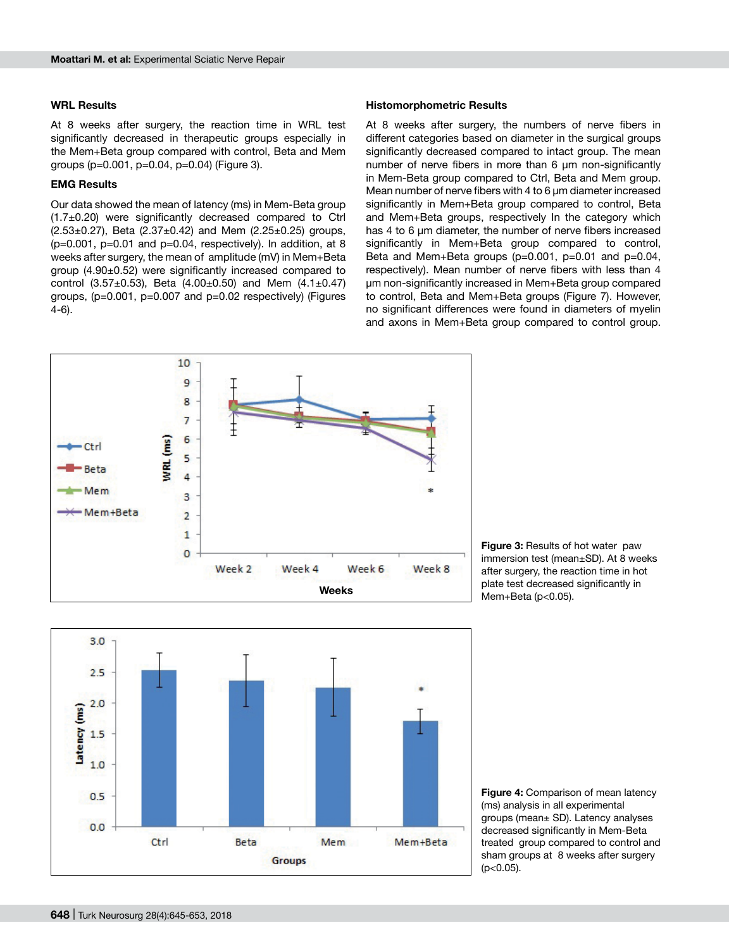#### **WRL Results**

At 8 weeks after surgery, the reaction time in WRL test significantly decreased in therapeutic groups especially in the Mem+Beta group compared with control, Beta and Mem groups (p=0.001, p=0.04, p=0.04) (Figure 3).

#### **EMG Results**

Our data showed the mean of latency (ms) in Mem-Beta group (1.7±0.20) were significantly decreased compared to Ctrl  $(2.53\pm0.27)$ , Beta  $(2.37\pm0.42)$  and Mem  $(2.25\pm0.25)$  groups,  $(p=0.001, p=0.01, q=0.04, s=0.04)$  respectively). In addition, at 8 weeks after surgery, the mean of amplitude (mV) in Mem+Beta group (4.90±0.52) were significantly increased compared to control (3.57 $\pm$ 0.53), Beta (4.00 $\pm$ 0.50) and Mem (4.1 $\pm$ 0.47) groups, (p=0.001, p=0.007 and p=0.02 respectively) (Figures 4-6).

#### **Histomorphometric Results**

At 8 weeks after surgery, the numbers of nerve fibers in different categories based on diameter in the surgical groups significantly decreased compared to intact group. The mean number of nerve fibers in more than 6 um non-significantly in Mem-Beta group compared to Ctrl, Beta and Mem group. Mean number of nerve fibers with 4 to 6  $\mu$ m diameter increased significantly in Mem+Beta group compared to control, Beta and Mem+Beta groups, respectively In the category which has 4 to 6 µm diameter, the number of nerve fibers increased significantly in Mem+Beta group compared to control, Beta and Mem+Beta groups  $(p=0.001, p=0.01, and p=0.04,$ respectively). Mean number of nerve fibers with less than 4 µm non-significantly increased in Mem+Beta group compared to control, Beta and Mem+Beta groups (Figure 7). However, no significant differences were found in diameters of myelin and axons in Mem+Beta group compared to control group.



**Figure 3: Results of hot water paw** immersion test (mean±SD). At 8 weeks after surgery, the reaction time in hot plate test decreased significantly in Mem+Beta (p<0.05).



**Figure 4:** Comparison of mean latency (ms) analysis in all experimental groups (mean± SD). Latency analyses decreased significantly in Mem-Beta treated group compared to control and sham groups at 8 weeks after surgery (p<0.05).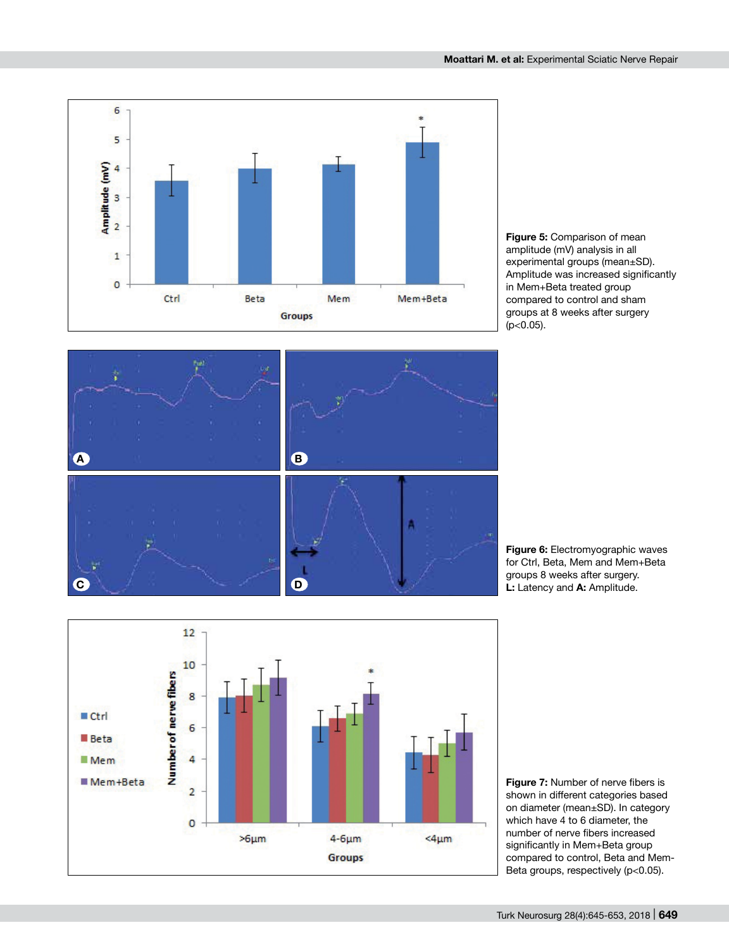

**Figure 5:** Comparison of mean amplitude (mV) analysis in all experimental groups (mean±SD). Amplitude was increased significantly in Mem+Beta treated group compared to control and sham groups at 8 weeks after surgery  $(p<0.05)$ .



**Figure 6:** Electromyographic waves for Ctrl, Beta, Mem and Mem+Beta groups 8 weeks after surgery. **L:** Latency and **A:** Amplitude.



**Figure 7:** Number of nerve fibers is shown in different categories based on diameter (mean±SD). In category which have 4 to 6 diameter, the number of nerve fibers increased significantly in Mem+Beta group compared to control, Beta and Mem-Beta groups, respectively (p<0.05).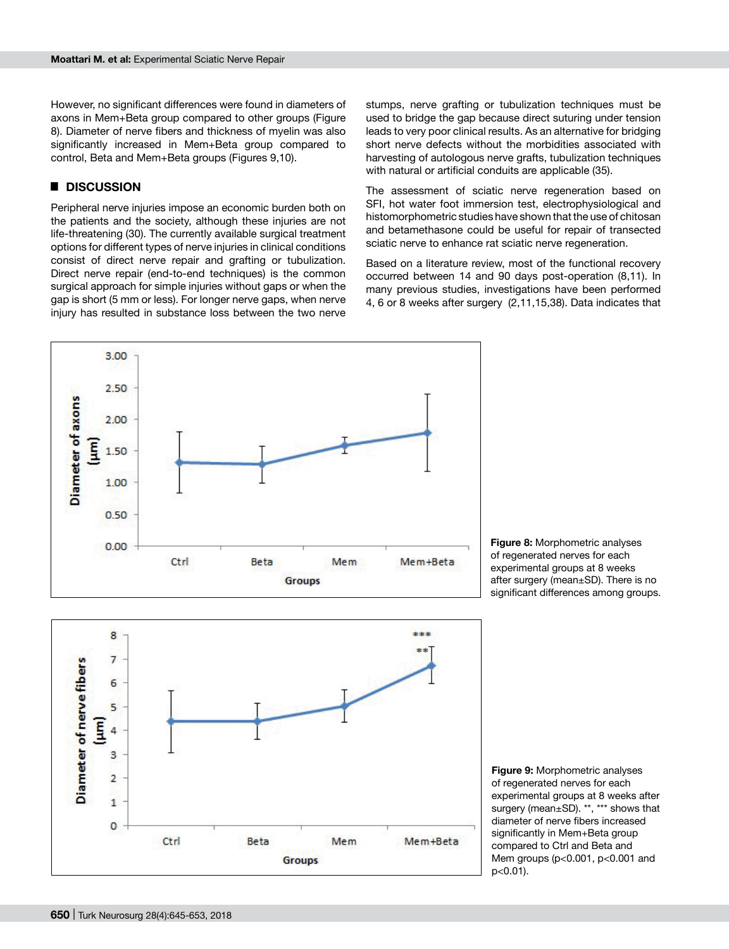However, no significant differences were found in diameters of axons in Mem+Beta group compared to other groups (Figure 8). Diameter of nerve fibers and thickness of myelin was also significantly increased in Mem+Beta group compared to control, Beta and Mem+Beta groups (Figures 9,10).

# █ **DISCUSSION**

Peripheral nerve injuries impose an economic burden both on the patients and the society, although these injuries are not life-threatening (30). The currently available surgical treatment options for different types of nerve injuries in clinical conditions consist of direct nerve repair and grafting or tubulization. Direct nerve repair (end-to-end techniques) is the common surgical approach for simple injuries without gaps or when the gap is short (5 mm or less). For longer nerve gaps, when nerve injury has resulted in substance loss between the two nerve stumps, nerve grafting or tubulization techniques must be used to bridge the gap because direct suturing under tension leads to very poor clinical results. As an alternative for bridging short nerve defects without the morbidities associated with harvesting of autologous nerve grafts, tubulization techniques with natural or artificial conduits are applicable (35).

The assessment of sciatic nerve regeneration based on SFI, hot water foot immersion test, electrophysiological and histomorphometric studies have shown that the use of chitosan and betamethasone could be useful for repair of transected sciatic nerve to enhance rat sciatic nerve regeneration.

Based on a literature review, most of the functional recovery occurred between 14 and 90 days post-operation (8,11). In many previous studies, investigations have been performed 4, 6 or 8 weeks after surgery (2,11,15,38). Data indicates that



**Figure 8:** Morphometric analyses of regenerated nerves for each experimental groups at 8 weeks after surgery (mean±SD). There is no significant differences among groups.



**Figure 9:** Morphometric analyses of regenerated nerves for each experimental groups at 8 weeks after surgery (mean±SD). \*\*, \*\*\* shows that diameter of nerve fibers increased significantly in Mem+Beta group compared to Ctrl and Beta and Mem groups (p<0.001, p<0.001 and p<0.01).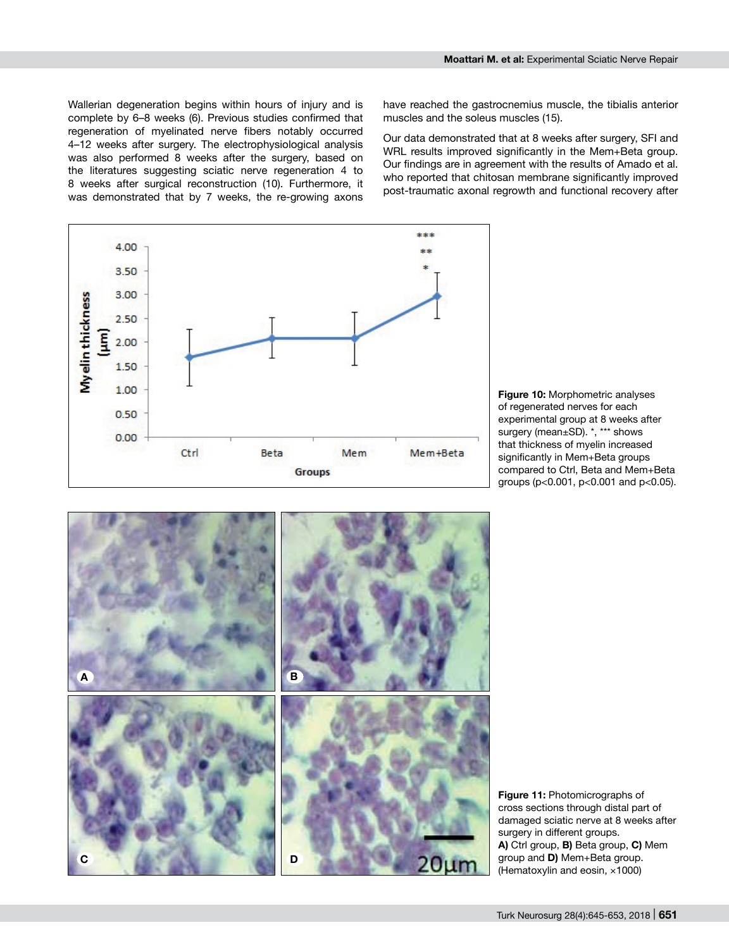Wallerian degeneration begins within hours of injury and is complete by 6–8 weeks (6). Previous studies confirmed that regeneration of myelinated nerve fibers notably occurred 4–12 weeks after surgery. The electrophysiological analysis was also performed 8 weeks after the surgery, based on the literatures suggesting sciatic nerve regeneration 4 to 8 weeks after surgical reconstruction (10). Furthermore, it was demonstrated that by 7 weeks, the re-growing axons

have reached the gastrocnemius muscle, the tibialis anterior muscles and the soleus muscles (15).

Our data demonstrated that at 8 weeks after surgery, SFI and WRL results improved significantly in the Mem+Beta group. Our findings are in agreement with the results of Amado et al. who reported that chitosan membrane significantly improved post-traumatic axonal regrowth and functional recovery after



**Figure 10:** Morphometric analyses of regenerated nerves for each experimental group at 8 weeks after surgery (mean±SD). \*, \*\*\* shows that thickness of myelin increased significantly in Mem+Beta groups compared to Ctrl, Beta and Mem+Beta groups (p<0.001, p<0.001 and p<0.05).



**Figure 11:** Photomicrographs of cross sections through distal part of damaged sciatic nerve at 8 weeks after surgery in different groups. **A)** Ctrl group, **B)** Beta group, **C)** Mem group and **D)** Mem+Beta group. (Hematoxylin and eosin, ×1000)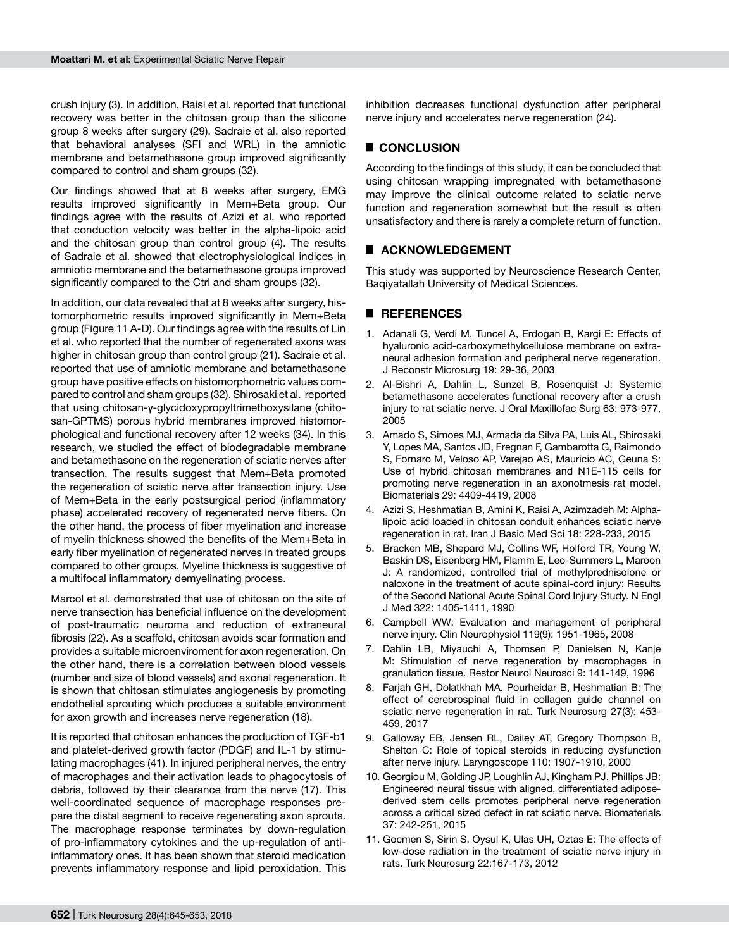crush injury (3). In addition, Raisi et al. reported that functional recovery was better in the chitosan group than the silicone group 8 weeks after surgery (29). Sadraie et al. also reported that behavioral analyses (SFI and WRL) in the amniotic membrane and betamethasone group improved significantly compared to control and sham groups (32).

Our findings showed that at 8 weeks after surgery, EMG results improved significantly in Mem+Beta group. Our findings agree with the results of Azizi et al. who reported that conduction velocity was better in the alpha-lipoic acid and the chitosan group than control group (4). The results of Sadraie et al. showed that electrophysiological indices in amniotic membrane and the betamethasone groups improved significantly compared to the Ctrl and sham groups (32).

In addition, our data revealed that at 8 weeks after surgery, histomorphometric results improved significantly in Mem+Beta group (Figure 11 A-D). Our findings agree with the results of Lin et al. who reported that the number of regenerated axons was higher in chitosan group than control group (21). Sadraie et al. reported that use of amniotic membrane and betamethasone group have positive effects on histomorphometric values compared to control and sham groups (32). Shirosaki et al. reported that using chitosan-γ-glycidoxypropyltrimethoxysilane (chitosan-GPTMS) porous hybrid membranes improved histomorphological and functional recovery after 12 weeks (34). In this research, we studied the effect of biodegradable membrane and betamethasone on the regeneration of sciatic nerves after transection. The results suggest that Mem+Beta promoted the regeneration of sciatic nerve after transection injury. Use of Mem+Beta in the early postsurgical period (inflammatory phase) accelerated recovery of regenerated nerve fibers. On the other hand, the process of fiber myelination and increase of myelin thickness showed the benefits of the Mem+Beta in early fiber myelination of regenerated nerves in treated groups compared to other groups. Myeline thickness is suggestive of a multifocal inflammatory demyelinating process.

Marcol et al. demonstrated that use of chitosan on the site of nerve transection has beneficial influence on the development of post-traumatic neuroma and reduction of extraneural fibrosis (22). As a scaffold, chitosan avoids scar formation and provides a suitable microenviroment for axon regeneration. On the other hand, there is a correlation between blood vessels (number and size of blood vessels) and axonal regeneration. It is shown that chitosan stimulates angiogenesis by promoting endothelial sprouting which produces a suitable environment for axon growth and increases nerve regeneration (18).

It is reported that chitosan enhances the production of TGF-b1 and platelet-derived growth factor (PDGF) and IL-1 by stimulating macrophages (41). In injured peripheral nerves, the entry of macrophages and their activation leads to phagocytosis of debris, followed by their clearance from the nerve (17). This well-coordinated sequence of macrophage responses prepare the distal segment to receive regenerating axon sprouts. The macrophage response terminates by down-regulation of pro-inflammatory cytokines and the up-regulation of antiinflammatory ones. It has been shown that steroid medication prevents inflammatory response and lipid peroxidation. This inhibition decreases functional dysfunction after peripheral nerve injury and accelerates nerve regeneration (24).

# █ **CONCLUSION**

According to the findings of this study, it can be concluded that using chitosan wrapping impregnated with betamethasone may improve the clinical outcome related to sciatic nerve function and regeneration somewhat but the result is often unsatisfactory and there is rarely a complete return of function.

# █ **ACKNOWLEDGEMENT**

This study was supported by Neuroscience Research Center, Baqiyatallah University of Medical Sciences.

#### █ **REFERENCES**

- 1. Adanali G, Verdi M, Tuncel A, Erdogan B, Kargi E: Effects of hyaluronic acid-carboxymethylcellulose membrane on extraneural adhesion formation and peripheral nerve regeneration. J Reconstr Microsurg 19: 29-36, 2003
- 2. Al-Bishri A, Dahlin L, Sunzel B, Rosenquist J: Systemic betamethasone accelerates functional recovery after a crush injury to rat sciatic nerve. J Oral Maxillofac Surg 63: 973-977, 2005
- 3. Amado S, Simoes MJ, Armada da Silva PA, Luis AL, Shirosaki Y, Lopes MA, Santos JD, Fregnan F, Gambarotta G, Raimondo S, Fornaro M, Veloso AP, Varejao AS, Mauricio AC, Geuna S: Use of hybrid chitosan membranes and N1E-115 cells for promoting nerve regeneration in an axonotmesis rat model. Biomaterials 29: 4409-4419, 2008
- 4. Azizi S, Heshmatian B, Amini K, Raisi A, Azimzadeh M: Alphalipoic acid loaded in chitosan conduit enhances sciatic nerve regeneration in rat. Iran J Basic Med Sci 18: 228-233, 2015
- 5. Bracken MB, Shepard MJ, Collins WF, Holford TR, Young W, Baskin DS, Eisenberg HM, Flamm E, Leo-Summers L, Maroon J: A randomized, controlled trial of methylprednisolone or naloxone in the treatment of acute spinal-cord injury: Results of the Second National Acute Spinal Cord Injury Study. N Engl J Med 322: 1405-1411, 1990
- 6. Campbell WW: Evaluation and management of peripheral nerve injury. Clin Neurophysiol 119(9): 1951-1965, 2008
- 7. Dahlin LB, Miyauchi A, Thomsen P, Danielsen N, Kanje M: Stimulation of nerve regeneration by macrophages in granulation tissue. Restor Neurol Neurosci 9: 141-149, 1996
- 8. Farjah GH, Dolatkhah MA, Pourheidar B, Heshmatian B: The effect of cerebrospinal fluid in collagen guide channel on sciatic nerve regeneration in rat. Turk Neurosurg 27(3): 453- 459, 2017
- 9. Galloway EB, Jensen RL, Dailey AT, Gregory Thompson B, Shelton C: Role of topical steroids in reducing dysfunction after nerve injury. Laryngoscope 110: 1907-1910, 2000
- 10. Georgiou M, Golding JP, Loughlin AJ, Kingham PJ, Phillips JB: Engineered neural tissue with aligned, differentiated adiposederived stem cells promotes peripheral nerve regeneration across a critical sized defect in rat sciatic nerve. Biomaterials 37: 242-251, 2015
- 11. Gocmen S, Sirin S, Oysul K, Ulas UH, Oztas E: The effects of low-dose radiation in the treatment of sciatic nerve injury in rats. Turk Neurosurg 22:167-173, 2012